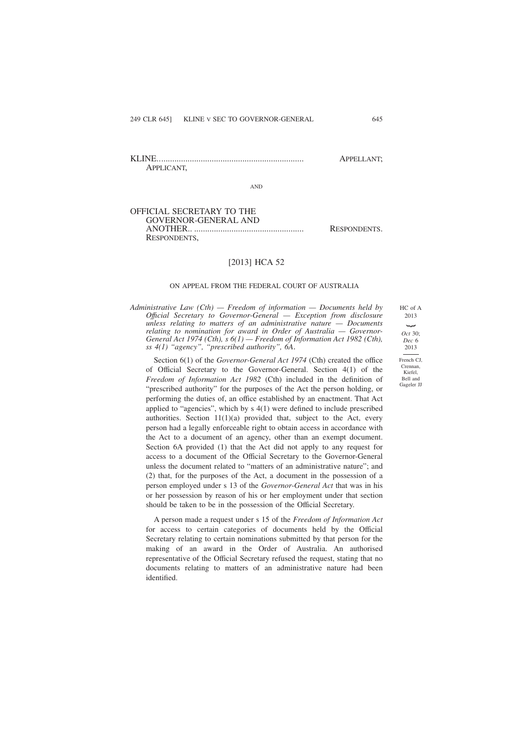KLINE................................................................... APPELLANT; APPLICANT,

AND

## OFFICIAL SECRETARY TO THE GOVERNOR-GENERAL AND ANOTHER.. .................................................. RESPONDENTS. RESPONDENTS,

[2013] HCA 52

#### ON APPEAL FROM THE FEDERAL COURT OF AUSTRALIA

*Administrative Law (Cth) — Freedom of information — Documents held by Offıcial Secretary to Governor-General — Exception from disclosure unless relating to matters of an administrative nature — Documents relating to nomination for award in Order of Australia — Governor-General Act 1974 (Cth), s 6(1) — Freedom of Information Act 1982 (Cth), ss 4(1) "agency", "prescribed authority", 6A*.

2013 *Oct* 30; *Dec* 6 2013

HC of A

Section 6(1) of the *Governor-General Act 1974* (Cth) created the office of Official Secretary to the Governor-General. Section 4(1) of the *Freedom of Information Act 1982* (Cth) included in the definition of "prescribed authority" for the purposes of the Act the person holding, or performing the duties of, an office established by an enactment. That Act applied to "agencies", which by s 4(1) were defined to include prescribed authorities. Section  $11(1)(a)$  provided that, subject to the Act, every person had a legally enforceable right to obtain access in accordance with the Act to a document of an agency, other than an exempt document. Section 6A provided (1) that the Act did not apply to any request for access to a document of the Official Secretary to the Governor-General unless the document related to "matters of an administrative nature"; and (2) that, for the purposes of the Act, a document in the possession of a person employed under s 13 of the *Governor-General Act* that was in his or her possession by reason of his or her employment under that section should be taken to be in the possession of the Official Secretary.

A person made a request under s 15 of the *Freedom of Information Act* for access to certain categories of documents held by the Official Secretary relating to certain nominations submitted by that person for the making of an award in the Order of Australia. An authorised representative of the Official Secretary refused the request, stating that no documents relating to matters of an administrative nature had been identified.

French CJ, Crennan, Kiefel, Bell and Gageler JJ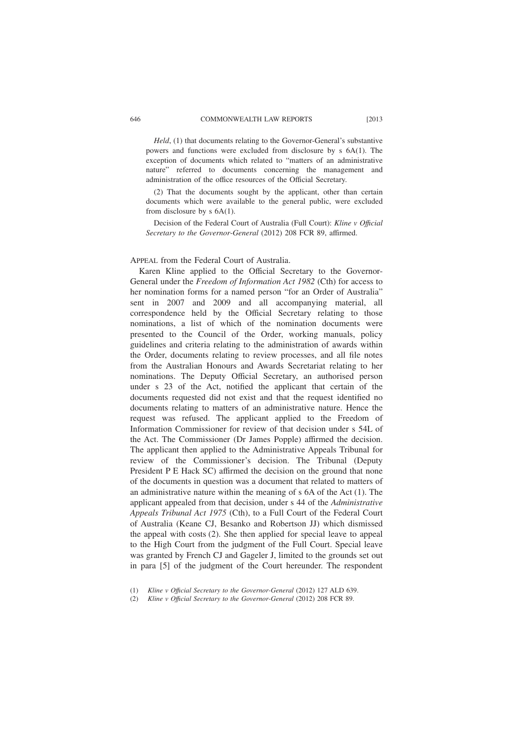*Held*, (1) that documents relating to the Governor-General's substantive powers and functions were excluded from disclosure by s 6A(1). The exception of documents which related to "matters of an administrative nature" referred to documents concerning the management and administration of the office resources of the Official Secretary.

(2) That the documents sought by the applicant, other than certain documents which were available to the general public, were excluded from disclosure by s 6A(1).

Decision of the Federal Court of Australia (Full Court): *Kline v Offıcial Secretary to the Governor-General* (2012) 208 FCR 89, affirmed.

#### APPEAL from the Federal Court of Australia.

Karen Kline applied to the Official Secretary to the Governor-General under the *Freedom of Information Act 1982* (Cth) for access to her nomination forms for a named person "for an Order of Australia" sent in 2007 and 2009 and all accompanying material, all correspondence held by the Official Secretary relating to those nominations, a list of which of the nomination documents were presented to the Council of the Order, working manuals, policy guidelines and criteria relating to the administration of awards within the Order, documents relating to review processes, and all file notes from the Australian Honours and Awards Secretariat relating to her nominations. The Deputy Official Secretary, an authorised person under s 23 of the Act, notified the applicant that certain of the documents requested did not exist and that the request identified no documents relating to matters of an administrative nature. Hence the request was refused. The applicant applied to the Freedom of Information Commissioner for review of that decision under s 54L of the Act. The Commissioner (Dr James Popple) affirmed the decision. The applicant then applied to the Administrative Appeals Tribunal for review of the Commissioner's decision. The Tribunal (Deputy President P E Hack SC) affirmed the decision on the ground that none of the documents in question was a document that related to matters of an administrative nature within the meaning of s 6A of the Act (1). The applicant appealed from that decision, under s 44 of the *Administrative Appeals Tribunal Act 1975* (Cth), to a Full Court of the Federal Court of Australia (Keane CJ, Besanko and Robertson JJ) which dismissed the appeal with costs (2). She then applied for special leave to appeal to the High Court from the judgment of the Full Court. Special leave was granted by French CJ and Gageler J, limited to the grounds set out in para [5] of the judgment of the Court hereunder. The respondent

<sup>(1)</sup> *Kline v Offıcial Secretary to the Governor-General* (2012) 127 ALD 639.

<sup>(2)</sup> *Kline v Offıcial Secretary to the Governor-General* (2012) 208 FCR 89.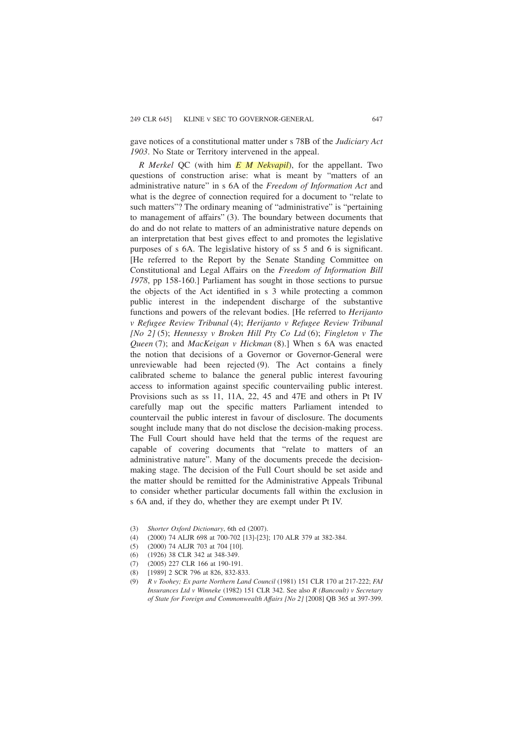gave notices of a constitutional matter under s 78B of the *Judiciary Act 1903*. No State or Territory intervened in the appeal.

*R Merkel* QC (with him *E M Nekvapil*), for the appellant. Two questions of construction arise: what is meant by "matters of an administrative nature" in s 6A of the *Freedom of Information Act* and what is the degree of connection required for a document to "relate to such matters"? The ordinary meaning of "administrative" is "pertaining to management of affairs" (3). The boundary between documents that do and do not relate to matters of an administrative nature depends on an interpretation that best gives effect to and promotes the legislative purposes of s 6A. The legislative history of ss 5 and 6 is significant. [He referred to the Report by the Senate Standing Committee on Constitutional and Legal Affairs on the *Freedom of Information Bill 1978*, pp 158-160.] Parliament has sought in those sections to pursue the objects of the Act identified in s 3 while protecting a common public interest in the independent discharge of the substantive functions and powers of the relevant bodies. [He referred to *Herijanto v Refugee Review Tribunal* (4); *Herijanto v Refugee Review Tribunal [No 2]* (5); *Hennessy v Broken Hill Pty Co Ltd* (6); *Fingleton v The Queen* (7); and *MacKeigan v Hickman* (8).] When s 6A was enacted the notion that decisions of a Governor or Governor-General were unreviewable had been rejected (9). The Act contains a finely calibrated scheme to balance the general public interest favouring access to information against specific countervailing public interest. Provisions such as ss 11, 11A, 22, 45 and 47E and others in Pt IV carefully map out the specific matters Parliament intended to countervail the public interest in favour of disclosure. The documents sought include many that do not disclose the decision-making process. The Full Court should have held that the terms of the request are capable of covering documents that "relate to matters of an administrative nature". Many of the documents precede the decisionmaking stage. The decision of the Full Court should be set aside and the matter should be remitted for the Administrative Appeals Tribunal to consider whether particular documents fall within the exclusion in s 6A and, if they do, whether they are exempt under Pt IV.

- (3) *Shorter Oxford Dictionary*, 6th ed (2007).
- (4) (2000) 74 ALJR 698 at 700-702 [13]-[23]; 170 ALR 379 at 382-384.
- (5) (2000) 74 ALJR 703 at 704 [10].
- (6) (1926) 38 CLR 342 at 348-349.
- (7) (2005) 227 CLR 166 at 190-191.
- (8) [1989] 2 SCR 796 at 826, 832-833.
- (9) *R v Toohey; Ex parte Northern Land Council* (1981) 151 CLR 170 at 217-222; *FAI Insurances Ltd v Winneke* (1982) 151 CLR 342. See also *R (Bancoult) v Secretary of State for Foreign and Commonwealth Affairs [No 2]* [2008] QB 365 at 397-399.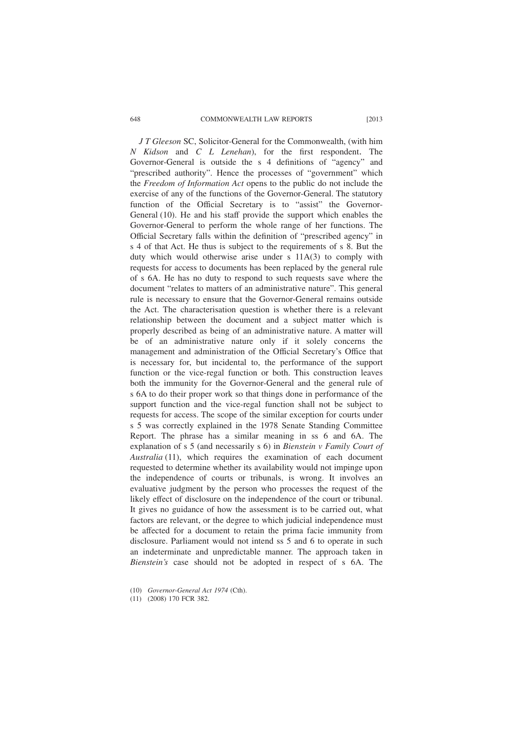#### 648 COMMONWEALTH LAW REPORTS [2013

*J T Gleeson* SC, Solicitor-General for the Commonwealth, (with him *N Kidson* and *C L Lenehan*), for the first respondent. The Governor-General is outside the s 4 definitions of "agency" and "prescribed authority". Hence the processes of "government" which the *Freedom of Information Act* opens to the public do not include the exercise of any of the functions of the Governor-General. The statutory function of the Official Secretary is to "assist" the Governor-General (10). He and his staff provide the support which enables the Governor-General to perform the whole range of her functions. The Official Secretary falls within the definition of "prescribed agency" in s 4 of that Act. He thus is subject to the requirements of s 8. But the duty which would otherwise arise under s  $11A(3)$  to comply with requests for access to documents has been replaced by the general rule of s 6A. He has no duty to respond to such requests save where the document "relates to matters of an administrative nature". This general rule is necessary to ensure that the Governor-General remains outside the Act. The characterisation question is whether there is a relevant relationship between the document and a subject matter which is properly described as being of an administrative nature. A matter will be of an administrative nature only if it solely concerns the management and administration of the Official Secretary's Office that is necessary for, but incidental to, the performance of the support function or the vice-regal function or both. This construction leaves both the immunity for the Governor-General and the general rule of s 6A to do their proper work so that things done in performance of the support function and the vice-regal function shall not be subject to requests for access. The scope of the similar exception for courts under s 5 was correctly explained in the 1978 Senate Standing Committee Report. The phrase has a similar meaning in ss 6 and 6A. The explanation of s 5 (and necessarily s 6) in *Bienstein v Family Court of Australia* (11), which requires the examination of each document requested to determine whether its availability would not impinge upon the independence of courts or tribunals, is wrong. It involves an evaluative judgment by the person who processes the request of the likely effect of disclosure on the independence of the court or tribunal. It gives no guidance of how the assessment is to be carried out, what factors are relevant, or the degree to which judicial independence must be affected for a document to retain the prima facie immunity from disclosure. Parliament would not intend ss 5 and 6 to operate in such an indeterminate and unpredictable manner. The approach taken in *Bienstein's* case should not be adopted in respect of s 6A. The

<sup>(10)</sup> *Governor-General Act 1974* (Cth).

<sup>(11) (2008) 170</sup> FCR 382.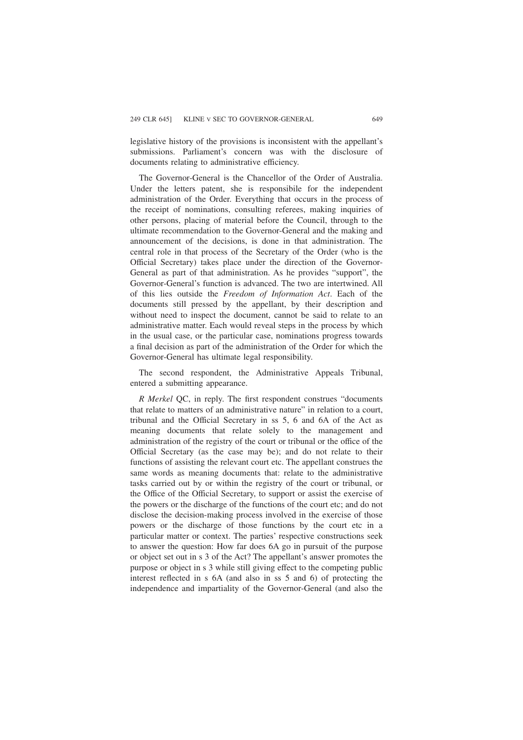legislative history of the provisions is inconsistent with the appellant's submissions. Parliament's concern was with the disclosure of documents relating to administrative efficiency.

The Governor-General is the Chancellor of the Order of Australia. Under the letters patent, she is responsibile for the independent administration of the Order. Everything that occurs in the process of the receipt of nominations, consulting referees, making inquiries of other persons, placing of material before the Council, through to the ultimate recommendation to the Governor-General and the making and announcement of the decisions, is done in that administration. The central role in that process of the Secretary of the Order (who is the Official Secretary) takes place under the direction of the Governor-General as part of that administration. As he provides "support", the Governor-General's function is advanced. The two are intertwined. All of this lies outside the *Freedom of Information Act*. Each of the documents still pressed by the appellant, by their description and without need to inspect the document, cannot be said to relate to an administrative matter. Each would reveal steps in the process by which in the usual case, or the particular case, nominations progress towards a final decision as part of the administration of the Order for which the Governor-General has ultimate legal responsibility.

The second respondent, the Administrative Appeals Tribunal, entered a submitting appearance.

*R Merkel* QC, in reply. The first respondent construes "documents that relate to matters of an administrative nature" in relation to a court, tribunal and the Official Secretary in ss 5, 6 and 6A of the Act as meaning documents that relate solely to the management and administration of the registry of the court or tribunal or the office of the Official Secretary (as the case may be); and do not relate to their functions of assisting the relevant court etc. The appellant construes the same words as meaning documents that: relate to the administrative tasks carried out by or within the registry of the court or tribunal, or the Office of the Official Secretary, to support or assist the exercise of the powers or the discharge of the functions of the court etc; and do not disclose the decision-making process involved in the exercise of those powers or the discharge of those functions by the court etc in a particular matter or context. The parties' respective constructions seek to answer the question: How far does 6A go in pursuit of the purpose or object set out in s 3 of the Act? The appellant's answer promotes the purpose or object in s 3 while still giving effect to the competing public interest reflected in s 6A (and also in ss 5 and 6) of protecting the independence and impartiality of the Governor-General (and also the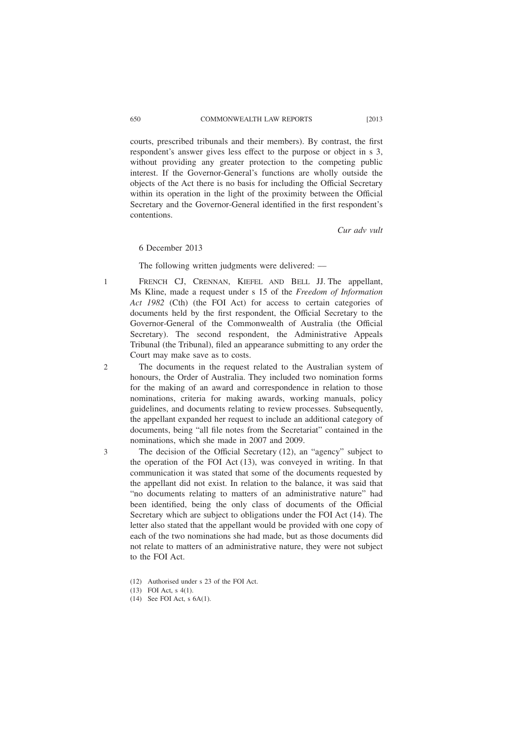courts, prescribed tribunals and their members). By contrast, the first respondent's answer gives less effect to the purpose or object in s 3, without providing any greater protection to the competing public interest. If the Governor-General's functions are wholly outside the objects of the Act there is no basis for including the Official Secretary within its operation in the light of the proximity between the Official Secretary and the Governor-General identified in the first respondent's contentions.

*Cur adv vult*

## 6 December 2013

The following written judgments were delivered: ––

- FRENCH CJ, CRENNAN, KIEFEL AND BELL JJ. The appellant, Ms Kline, made a request under s 15 of the *Freedom of Information Act 1982* (Cth) (the FOI Act) for access to certain categories of documents held by the first respondent, the Official Secretary to the Governor-General of the Commonwealth of Australia (the Official Secretary). The second respondent, the Administrative Appeals Tribunal (the Tribunal), filed an appearance submitting to any order the Court may make save as to costs.
- The documents in the request related to the Australian system of honours, the Order of Australia. They included two nomination forms for the making of an award and correspondence in relation to those nominations, criteria for making awards, working manuals, policy guidelines, and documents relating to review processes. Subsequently, the appellant expanded her request to include an additional category of documents, being "all file notes from the Secretariat" contained in the nominations, which she made in 2007 and 2009.
	- The decision of the Official Secretary (12), an "agency" subject to the operation of the FOI Act (13), was conveyed in writing. In that communication it was stated that some of the documents requested by the appellant did not exist. In relation to the balance, it was said that "no documents relating to matters of an administrative nature" had been identified, being the only class of documents of the Official Secretary which are subject to obligations under the FOI Act (14). The letter also stated that the appellant would be provided with one copy of each of the two nominations she had made, but as those documents did not relate to matters of an administrative nature, they were not subject to the FOI Act.
		- (12) Authorised under s 23 of the FOI Act.
		- (13) FOI Act, s 4(1).
		- (14) See FOI Act, s 6A(1).

1

 $\mathcal{D}$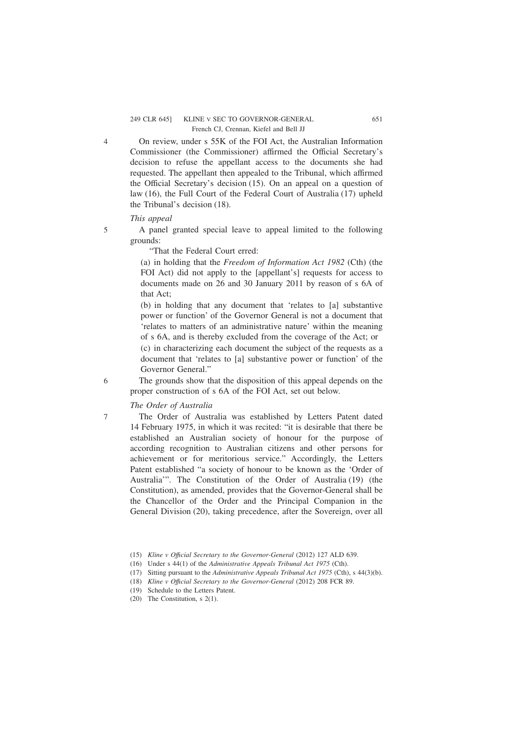On review, under s 55K of the FOI Act, the Australian Information Commissioner (the Commissioner) affirmed the Official Secretary's decision to refuse the appellant access to the documents she had requested. The appellant then appealed to the Tribunal, which affirmed the Official Secretary's decision (15). On an appeal on a question of law (16), the Full Court of the Federal Court of Australia (17) upheld the Tribunal's decision (18).

## *This appeal*

5

6

7

4

A panel granted special leave to appeal limited to the following grounds:

"That the Federal Court erred:

(a) in holding that the *Freedom of Information Act 1982* (Cth) (the FOI Act) did not apply to the [appellant's] requests for access to documents made on 26 and 30 January 2011 by reason of s 6A of that Act;

(b) in holding that any document that 'relates to [a] substantive power or function' of the Governor General is not a document that 'relates to matters of an administrative nature' within the meaning of s 6A, and is thereby excluded from the coverage of the Act; or (c) in characterizing each document the subject of the requests as a document that 'relates to [a] substantive power or function' of the Governor General."

The grounds show that the disposition of this appeal depends on the proper construction of s 6A of the FOI Act, set out below.

*The Order of Australia*

The Order of Australia was established by Letters Patent dated 14 February 1975, in which it was recited: "it is desirable that there be established an Australian society of honour for the purpose of according recognition to Australian citizens and other persons for achievement or for meritorious service." Accordingly, the Letters Patent established "a society of honour to be known as the 'Order of Australia'". The Constitution of the Order of Australia (19) (the Constitution), as amended, provides that the Governor-General shall be the Chancellor of the Order and the Principal Companion in the General Division (20), taking precedence, after the Sovereign, over all

<sup>(15)</sup> *Kline v Offıcial Secretary to the Governor-General* (2012) 127 ALD 639.

<sup>(16)</sup> Under s 44(1) of the *Administrative Appeals Tribunal Act 1975* (Cth).

<sup>(17)</sup> Sitting pursuant to the *Administrative Appeals Tribunal Act 1975* (Cth), s 44(3)(b).

<sup>(18)</sup> *Kline v Offıcial Secretary to the Governor-General* (2012) 208 FCR 89.

<sup>(19)</sup> Schedule to the Letters Patent.

<sup>(20)</sup> The Constitution, s 2(1).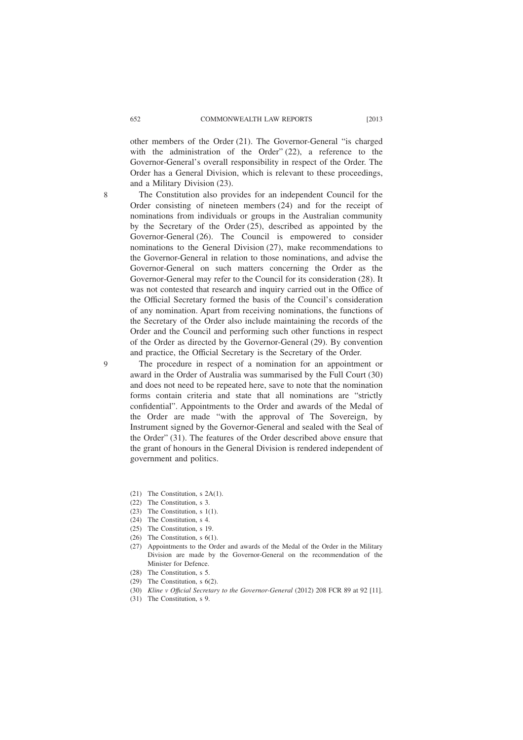other members of the Order (21). The Governor-General "is charged with the administration of the Order" (22), a reference to the Governor-General's overall responsibility in respect of the Order. The Order has a General Division, which is relevant to these proceedings, and a Military Division (23).

8

 $\Omega$ 

The Constitution also provides for an independent Council for the Order consisting of nineteen members (24) and for the receipt of nominations from individuals or groups in the Australian community by the Secretary of the Order (25), described as appointed by the Governor-General (26). The Council is empowered to consider nominations to the General Division (27), make recommendations to the Governor-General in relation to those nominations, and advise the Governor-General on such matters concerning the Order as the Governor-General may refer to the Council for its consideration (28). It was not contested that research and inquiry carried out in the Office of the Official Secretary formed the basis of the Council's consideration of any nomination. Apart from receiving nominations, the functions of the Secretary of the Order also include maintaining the records of the Order and the Council and performing such other functions in respect of the Order as directed by the Governor-General (29). By convention and practice, the Official Secretary is the Secretary of the Order.

The procedure in respect of a nomination for an appointment or award in the Order of Australia was summarised by the Full Court (30) and does not need to be repeated here, save to note that the nomination forms contain criteria and state that all nominations are "strictly confidential". Appointments to the Order and awards of the Medal of the Order are made "with the approval of The Sovereign, by Instrument signed by the Governor-General and sealed with the Seal of the Order" (31). The features of the Order described above ensure that the grant of honours in the General Division is rendered independent of government and politics.

- (21) The Constitution, s 2A(1).
- (22) The Constitution, s 3.
- (23) The Constitution, s 1(1).
- (24) The Constitution, s 4.
- (25) The Constitution, s 19.
- (26) The Constitution, s 6(1).
- (27) Appointments to the Order and awards of the Medal of the Order in the Military Division are made by the Governor-General on the recommendation of the Minister for Defence.
- (28) The Constitution, s 5.
- (29) The Constitution, s 6(2).
- (30) *Kline v Offıcial Secretary to the Governor-General* (2012) 208 FCR 89 at 92 [11].
- (31) The Constitution, s 9.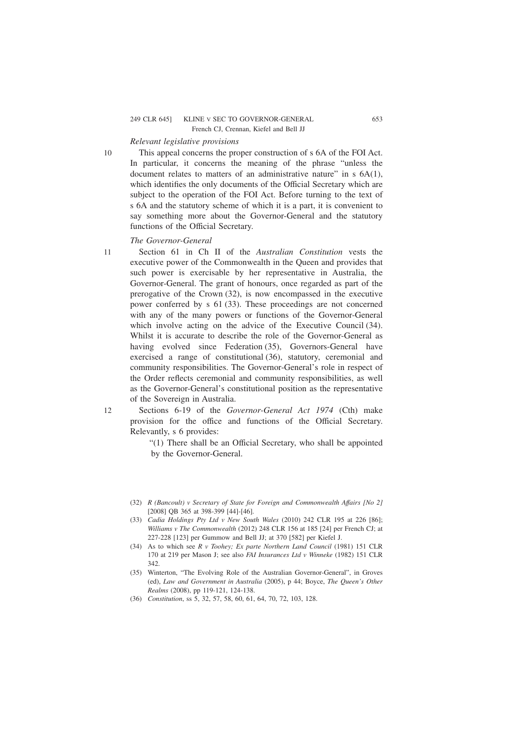#### 249 CLR 645] KLINE V SEC TO GOVERNOR-GENERAL 653 French CJ, Crennan, Kiefel and Bell JJ

# *Relevant legislative provisions*

10

11

This appeal concerns the proper construction of s 6A of the FOI Act. In particular, it concerns the meaning of the phrase "unless the document relates to matters of an administrative nature" in s  $6A(1)$ , which identifies the only documents of the Official Secretary which are subject to the operation of the FOI Act. Before turning to the text of s 6A and the statutory scheme of which it is a part, it is convenient to say something more about the Governor-General and the statutory functions of the Official Secretary.

## *The Governor-General*

Section 61 in Ch II of the *Australian Constitution* vests the executive power of the Commonwealth in the Queen and provides that such power is exercisable by her representative in Australia, the Governor-General. The grant of honours, once regarded as part of the prerogative of the Crown (32), is now encompassed in the executive power conferred by s 61 (33). These proceedings are not concerned with any of the many powers or functions of the Governor-General which involve acting on the advice of the Executive Council (34). Whilst it is accurate to describe the role of the Governor-General as having evolved since Federation (35), Governors-General have exercised a range of constitutional (36), statutory, ceremonial and community responsibilities. The Governor-General's role in respect of the Order reflects ceremonial and community responsibilities, as well as the Governor-General's constitutional position as the representative of the Sovereign in Australia.

12

Sections 6-19 of the *Governor-General Act 1974* (Cth) make provision for the office and functions of the Official Secretary. Relevantly, s 6 provides:

"(1) There shall be an Official Secretary, who shall be appointed by the Governor-General.

- (32) *R (Bancoult) v Secretary of State for Foreign and Commonwealth Affairs [No 2]* [2008] OB 365 at 398-399 [44]-[46].
- (33) *Cadia Holdings Pty Ltd v New South Wales* (2010) 242 CLR 195 at 226 [86]; *Williams v The Commonwealth* (2012) 248 CLR 156 at 185 [24] per French CJ; at 227-228 [123] per Gummow and Bell JJ; at 370 [582] per Kiefel J.
- (34) As to which see *R v Toohey; Ex parte Northern Land Council* (1981) 151 CLR 170 at 219 per Mason J; see also *FAI Insurances Ltd v Winneke* (1982) 151 CLR 342.
- (35) Winterton, "The Evolving Role of the Australian Governor-General", in Groves (ed), *Law and Government in Australia* (2005), p 44; Boyce, *The Queen's Other Realms* (2008), pp 119-121, 124-138.
- (36) *Constitution*, ss 5, 32, 57, 58, 60, 61, 64, 70, 72, 103, 128.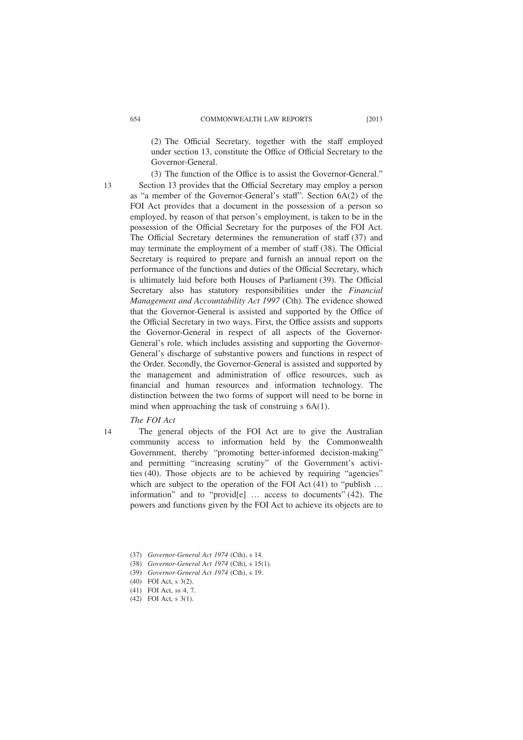(2) The Official Secretary, together with the staff employed under section 13, constitute the Office of Official Secretary to the Governor-General.

13

(3) The function of the Office is to assist the Governor-General." Section 13 provides that the Official Secretary may employ a person as "a member of the Governor-General's staff". Section 6A(2) of the FOI Act provides that a document in the possession of a person so employed, by reason of that person's employment, is taken to be in the possession of the Official Secretary for the purposes of the FOI Act. The Official Secretary determines the remuneration of staff (37) and may terminate the employment of a member of staff (38). The Official Secretary is required to prepare and furnish an annual report on the performance of the functions and duties of the Official Secretary, which is ultimately laid before both Houses of Parliament (39). The Official Secretary also has statutory responsibilities under the *Financial Management and Accountability Act 1997* (Cth). The evidence showed that the Governor-General is assisted and supported by the Office of the Official Secretary in two ways. First, the Office assists and supports the Governor-General in respect of all aspects of the Governor-General's role, which includes assisting and supporting the Governor-General's discharge of substantive powers and functions in respect of the Order. Secondly, the Governor-General is assisted and supported by the management and administration of office resources, such as financial and human resources and information technology. The distinction between the two forms of support will need to be borne in mind when approaching the task of construing s 6A(1).

# *The FOI Act*

14

The general objects of the FOI Act are to give the Australian community access to information held by the Commonwealth Government, thereby "promoting better-informed decision-making" and permitting "increasing scrutiny" of the Government's activities (40). Those objects are to be achieved by requiring "agencies" which are subject to the operation of the FOI Act (41) to "publish ... information" and to "provid[e] … access to documents" (42). The powers and functions given by the FOI Act to achieve its objects are to

- (39) *Governor-General Act 1974* (Cth), s 19.
- (40) FOI Act, s 3(2). (41) FOI Act, ss 4, 7.
- (42) FOI Act, s 3(1).

<sup>(37)</sup> *Governor-General Act 1974* (Cth), s 14.

<sup>(38)</sup> *Governor-General Act 1974* (Cth), s 15(1).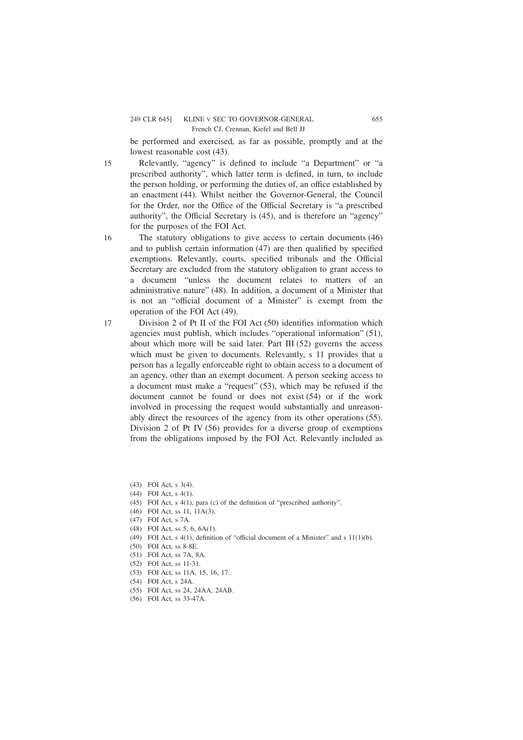be performed and exercised, as far as possible, promptly and at the lowest reasonable cost (43).

Relevantly, "agency" is defined to include "a Department" or "a prescribed authority", which latter term is defined, in turn, to include the person holding, or performing the duties of, an office established by an enactment (44). Whilst neither the Governor-General, the Council for the Order, nor the Office of the Official Secretary is "a prescribed authority", the Official Secretary is (45), and is therefore an "agency" for the purposes of the FOI Act. 15

The statutory obligations to give access to certain documents (46) and to publish certain information (47) are then qualified by specified exemptions. Relevantly, courts, specified tribunals and the Official Secretary are excluded from the statutory obligation to grant access to a document "unless the document relates to matters of an administrative nature" (48). In addition, a document of a Minister that is not an "official document of a Minister" is exempt from the operation of the FOI Act (49).

Division 2 of Pt II of the FOI Act (50) identifies information which agencies must publish, which includes "operational information" (51), about which more will be said later. Part III (52) governs the access which must be given to documents. Relevantly, s 11 provides that a person has a legally enforceable right to obtain access to a document of an agency, other than an exempt document. A person seeking access to a document must make a "request" (53), which may be refused if the document cannot be found or does not exist (54) or if the work involved in processing the request would substantially and unreasonably direct the resources of the agency from its other operations (55). Division 2 of Pt IV (56) provides for a diverse group of exemptions from the obligations imposed by the FOI Act. Relevantly included as 17

(43) FOI Act, s 3(4).

16

(44) FOI Act, s 4(1).

(45) FOI Act, s 4(1), para (c) of the definition of "prescribed authority".

(46) FOI Act, ss 11, 11A(3).

(47) FOI Act, s 7A.

(48) FOI Act, ss 5, 6, 6A(1).

(49) FOI Act, s 4(1), definition of "official document of a Minister" and s 11(1)(b).

(50) FOI Act, ss 8-8E.

(51) FOI Act, ss 7A, 8A.

(52) FOI Act, ss 11-31.

(53) FOI Act, ss 11A, 15, 16, 17.

(54) FOI Act, s 24A.

(55) FOI Act, ss 24, 24AA, 24AB.

(56) FOI Act, ss 33-47A.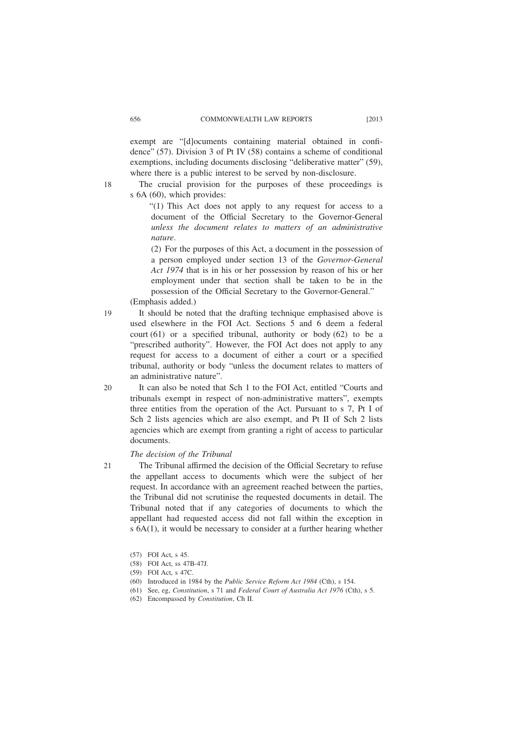exempt are "[d]ocuments containing material obtained in confidence" (57). Division 3 of Pt IV (58) contains a scheme of conditional exemptions, including documents disclosing "deliberative matter" (59), where there is a public interest to be served by non-disclosure.

The crucial provision for the purposes of these proceedings is s 6A (60), which provides:

"(1) This Act does not apply to any request for access to a document of the Official Secretary to the Governor-General *unless the document relates to matters of an administrative nature*.

(2) For the purposes of this Act, a document in the possession of a person employed under section 13 of the *Governor-General Act 1974* that is in his or her possession by reason of his or her employment under that section shall be taken to be in the possession of the Official Secretary to the Governor-General."

(Emphasis added.)

It should be noted that the drafting technique emphasised above is used elsewhere in the FOI Act. Sections 5 and 6 deem a federal court  $(61)$  or a specified tribunal, authority or body  $(62)$  to be a "prescribed authority". However, the FOI Act does not apply to any request for access to a document of either a court or a specified tribunal, authority or body "unless the document relates to matters of an administrative nature".

It can also be noted that Sch 1 to the FOI Act, entitled "Courts and tribunals exempt in respect of non-administrative matters", exempts three entities from the operation of the Act. Pursuant to s 7, Pt I of Sch 2 lists agencies which are also exempt, and Pt II of Sch 2 lists agencies which are exempt from granting a right of access to particular documents.

## *The decision of the Tribunal*

The Tribunal affirmed the decision of the Official Secretary to refuse the appellant access to documents which were the subject of her request. In accordance with an agreement reached between the parties, the Tribunal did not scrutinise the requested documents in detail. The Tribunal noted that if any categories of documents to which the appellant had requested access did not fall within the exception in s 6A(1), it would be necessary to consider at a further hearing whether

- (58) FOI Act, ss 47B-47J.
- (59) FOI Act, s 47C.
- (60) Introduced in 1984 by the *Public Service Reform Act 1984* (Cth), s 154.
- (61) See, eg, *Constitution*, s 71 and *Federal Court of Australia Act 1976* (Cth), s 5.
- (62) Encompassed by *Constitution*, Ch II.

18

20

21

<sup>(57)</sup> FOI Act, s 45.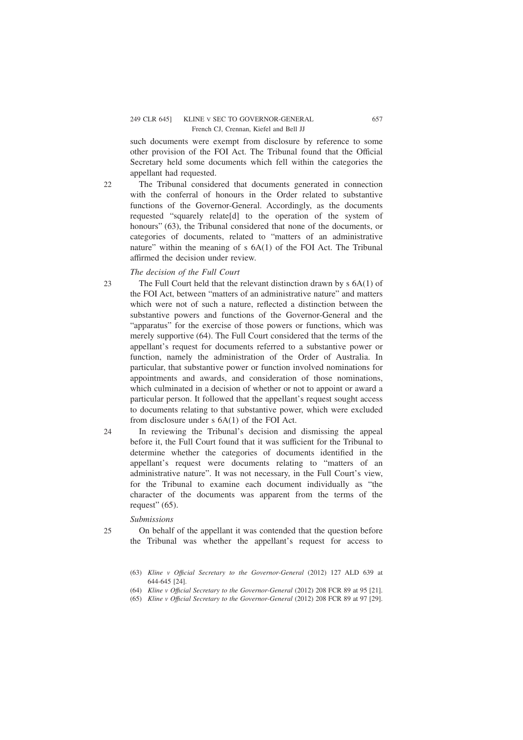#### 249 CLR 645] KLINE V SEC TO GOVERNOR-GENERAL 657 French CJ, Crennan, Kiefel and Bell JJ

such documents were exempt from disclosure by reference to some other provision of the FOI Act. The Tribunal found that the Official Secretary held some documents which fell within the categories the appellant had requested.

The Tribunal considered that documents generated in connection with the conferral of honours in the Order related to substantive functions of the Governor-General. Accordingly, as the documents requested "squarely relate[d] to the operation of the system of honours" (63), the Tribunal considered that none of the documents, or categories of documents, related to "matters of an administrative nature" within the meaning of s 6A(1) of the FOI Act. The Tribunal affirmed the decision under review.

## *The decision of the Full Court*

- The Full Court held that the relevant distinction drawn by s 6A(1) of the FOI Act, between "matters of an administrative nature" and matters which were not of such a nature, reflected a distinction between the substantive powers and functions of the Governor-General and the "apparatus" for the exercise of those powers or functions, which was merely supportive (64). The Full Court considered that the terms of the appellant's request for documents referred to a substantive power or function, namely the administration of the Order of Australia. In particular, that substantive power or function involved nominations for appointments and awards, and consideration of those nominations, which culminated in a decision of whether or not to appoint or award a particular person. It followed that the appellant's request sought access to documents relating to that substantive power, which were excluded from disclosure under s 6A(1) of the FOI Act.
- In reviewing the Tribunal's decision and dismissing the appeal before it, the Full Court found that it was sufficient for the Tribunal to determine whether the categories of documents identified in the appellant's request were documents relating to "matters of an administrative nature". It was not necessary, in the Full Court's view, for the Tribunal to examine each document individually as "the character of the documents was apparent from the terms of the request" (65).

#### *Submissions*

25

24

22

 $23$ 

On behalf of the appellant it was contended that the question before the Tribunal was whether the appellant's request for access to

<sup>(63)</sup> *Kline v Offıcial Secretary to the Governor-General* (2012) 127 ALD 639 at 644-645 [24].

<sup>(64)</sup> *Kline v Offıcial Secretary to the Governor-General* (2012) 208 FCR 89 at 95 [21].

<sup>(65)</sup> *Kline v Offıcial Secretary to the Governor-General* (2012) 208 FCR 89 at 97 [29].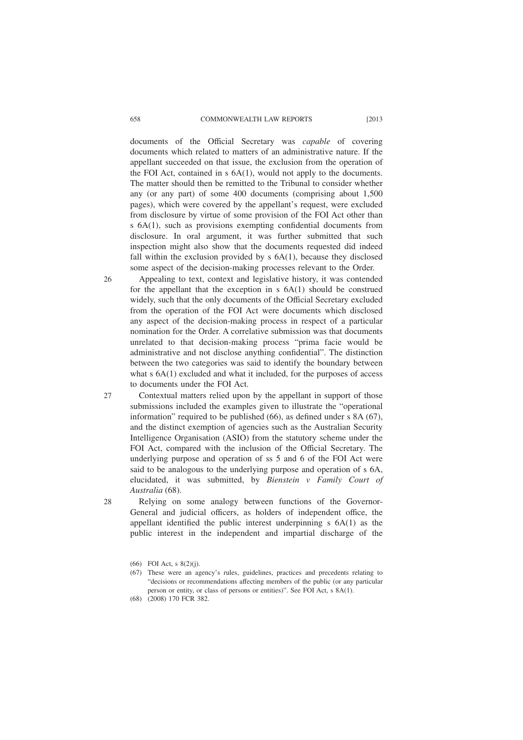#### 658 COMMONWEALTH LAW REPORTS [2013

documents of the Official Secretary was *capable* of covering documents which related to matters of an administrative nature. If the appellant succeeded on that issue, the exclusion from the operation of the FOI Act, contained in s 6A(1), would not apply to the documents. The matter should then be remitted to the Tribunal to consider whether any (or any part) of some 400 documents (comprising about 1,500 pages), which were covered by the appellant's request, were excluded from disclosure by virtue of some provision of the FOI Act other than s 6A(1), such as provisions exempting confidential documents from disclosure. In oral argument, it was further submitted that such inspection might also show that the documents requested did indeed fall within the exclusion provided by  $s$  6A(1), because they disclosed some aspect of the decision-making processes relevant to the Order.

- Appealing to text, context and legislative history, it was contended for the appellant that the exception in s 6A(1) should be construed widely, such that the only documents of the Official Secretary excluded from the operation of the FOI Act were documents which disclosed any aspect of the decision-making process in respect of a particular nomination for the Order. A correlative submission was that documents unrelated to that decision-making process "prima facie would be administrative and not disclose anything confidential". The distinction between the two categories was said to identify the boundary between what s 6A(1) excluded and what it included, for the purposes of access to documents under the FOI Act. 26
	- Contextual matters relied upon by the appellant in support of those submissions included the examples given to illustrate the "operational information" required to be published (66), as defined under s 8A (67), and the distinct exemption of agencies such as the Australian Security Intelligence Organisation (ASIO) from the statutory scheme under the FOI Act, compared with the inclusion of the Official Secretary. The underlying purpose and operation of ss 5 and 6 of the FOI Act were said to be analogous to the underlying purpose and operation of s 6A, elucidated, it was submitted, by *Bienstein v Family Court of Australia* (68).
		- Relying on some analogy between functions of the Governor-General and judicial officers, as holders of independent office, the appellant identified the public interest underpinning s 6A(1) as the public interest in the independent and impartial discharge of the

(67) These were an agency's rules, guidelines, practices and precedents relating to "decisions or recommendations affecting members of the public (or any particular person or entity, or class of persons or entities)". See FOI Act, s 8A(1).

27

<sup>(66)</sup> FOI Act, s 8(2)(j).

<sup>(68) (2008) 170</sup> FCR 382.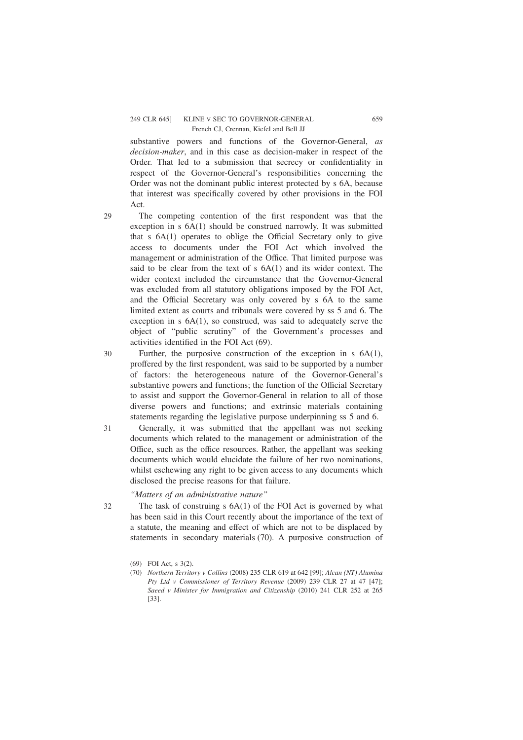#### 249 CLR 645] KLINE V SEC TO GOVERNOR-GENERAL 659 French CJ, Crennan, Kiefel and Bell JJ

substantive powers and functions of the Governor-General, *as decision-maker*, and in this case as decision-maker in respect of the Order. That led to a submission that secrecy or confidentiality in respect of the Governor-General's responsibilities concerning the Order was not the dominant public interest protected by s 6A, because that interest was specifically covered by other provisions in the FOI Act.

 $29$ 

30

32

The competing contention of the first respondent was that the exception in s 6A(1) should be construed narrowly. It was submitted that s 6A(1) operates to oblige the Official Secretary only to give access to documents under the FOI Act which involved the management or administration of the Office. That limited purpose was said to be clear from the text of s 6A(1) and its wider context. The wider context included the circumstance that the Governor-General was excluded from all statutory obligations imposed by the FOI Act, and the Official Secretary was only covered by s 6A to the same limited extent as courts and tribunals were covered by ss 5 and 6. The exception in s 6A(1), so construed, was said to adequately serve the object of "public scrutiny" of the Government's processes and activities identified in the FOI Act (69).

Further, the purposive construction of the exception in s  $6A(1)$ , proffered by the first respondent, was said to be supported by a number of factors: the heterogeneous nature of the Governor-General's substantive powers and functions; the function of the Official Secretary to assist and support the Governor-General in relation to all of those diverse powers and functions; and extrinsic materials containing statements regarding the legislative purpose underpinning ss 5 and 6.

Generally, it was submitted that the appellant was not seeking documents which related to the management or administration of the Office, such as the office resources. Rather, the appellant was seeking documents which would elucidate the failure of her two nominations, whilst eschewing any right to be given access to any documents which disclosed the precise reasons for that failure. 31

#### *"Matters of an administrative nature"*

The task of construing s 6A(1) of the FOI Act is governed by what has been said in this Court recently about the importance of the text of a statute, the meaning and effect of which are not to be displaced by statements in secondary materials (70). A purposive construction of

<sup>(69)</sup> FOI Act, s 3(2).

<sup>(70)</sup> *Northern Territory v Collins* (2008) 235 CLR 619 at 642 [99]; *Alcan (NT) Alumina Pty Ltd v Commissioner of Territory Revenue* (2009) 239 CLR 27 at 47 [47]; *Saeed v Minister for Immigration and Citizenship* (2010) 241 CLR 252 at 265 [33].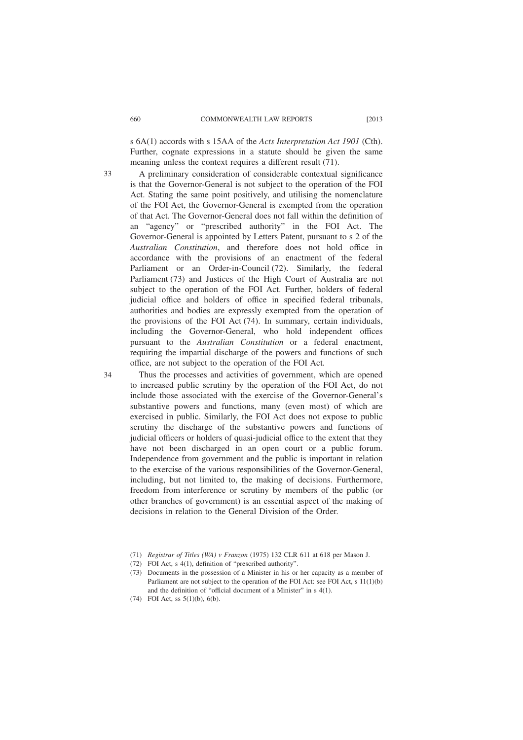s 6A(1) accords with s 15AA of the *Acts Interpretation Act 1901* (Cth). Further, cognate expressions in a statute should be given the same meaning unless the context requires a different result (71).

A preliminary consideration of considerable contextual significance is that the Governor-General is not subject to the operation of the FOI Act. Stating the same point positively, and utilising the nomenclature of the FOI Act, the Governor-General is exempted from the operation of that Act. The Governor-General does not fall within the definition of an "agency" or "prescribed authority" in the FOI Act. The Governor-General is appointed by Letters Patent, pursuant to s 2 of the *Australian Constitution*, and therefore does not hold office in accordance with the provisions of an enactment of the federal Parliament or an Order-in-Council (72). Similarly, the federal Parliament (73) and Justices of the High Court of Australia are not subject to the operation of the FOI Act. Further, holders of federal judicial office and holders of office in specified federal tribunals, authorities and bodies are expressly exempted from the operation of the provisions of the FOI Act (74). In summary, certain individuals, including the Governor-General, who hold independent offices pursuant to the *Australian Constitution* or a federal enactment, requiring the impartial discharge of the powers and functions of such office, are not subject to the operation of the FOI Act.

Thus the processes and activities of government, which are opened to increased public scrutiny by the operation of the FOI Act, do not include those associated with the exercise of the Governor-General's substantive powers and functions, many (even most) of which are exercised in public. Similarly, the FOI Act does not expose to public scrutiny the discharge of the substantive powers and functions of judicial officers or holders of quasi-judicial office to the extent that they have not been discharged in an open court or a public forum. Independence from government and the public is important in relation to the exercise of the various responsibilities of the Governor-General, including, but not limited to, the making of decisions. Furthermore, freedom from interference or scrutiny by members of the public (or other branches of government) is an essential aspect of the making of decisions in relation to the General Division of the Order.

33

<sup>(71)</sup> *Registrar of Titles (WA) v Franzon* (1975) 132 CLR 611 at 618 per Mason J.

<sup>(72)</sup> FOI Act, s 4(1), definition of "prescribed authority".

<sup>(73)</sup> Documents in the possession of a Minister in his or her capacity as a member of Parliament are not subject to the operation of the FOI Act: see FOI Act, s 11(1)(b) and the definition of "official document of a Minister" in s 4(1).

<sup>(74)</sup> FOI Act, ss 5(1)(b), 6(b).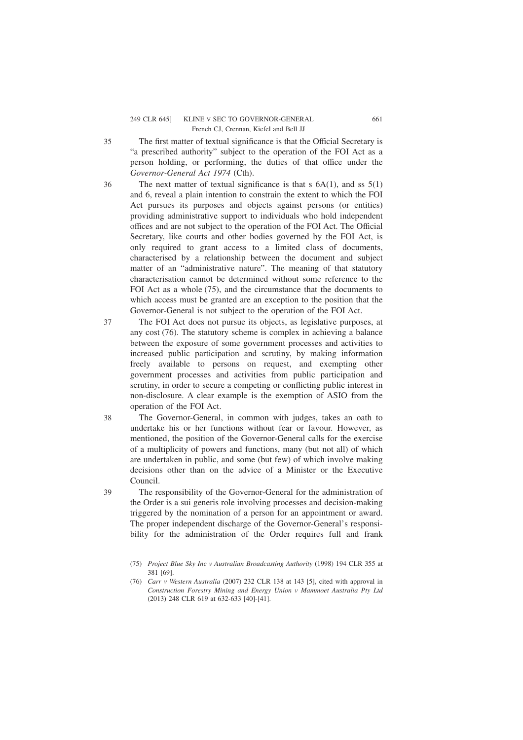#### 249 CLR 645] KLINE V SEC TO GOVERNOR-GENERAL 661 French CJ, Crennan, Kiefel and Bell JJ

The first matter of textual significance is that the Official Secretary is "a prescribed authority" subject to the operation of the FOI Act as a person holding, or performing, the duties of that office under the *Governor-General Act 1974* (Cth).

- The next matter of textual significance is that  $s$  6A(1), and  $ss$  5(1) and 6, reveal a plain intention to constrain the extent to which the FOI Act pursues its purposes and objects against persons (or entities) providing administrative support to individuals who hold independent offices and are not subject to the operation of the FOI Act. The Official Secretary, like courts and other bodies governed by the FOI Act, is only required to grant access to a limited class of documents, characterised by a relationship between the document and subject matter of an "administrative nature". The meaning of that statutory characterisation cannot be determined without some reference to the FOI Act as a whole (75), and the circumstance that the documents to which access must be granted are an exception to the position that the Governor-General is not subject to the operation of the FOI Act.
- The FOI Act does not pursue its objects, as legislative purposes, at any cost (76). The statutory scheme is complex in achieving a balance between the exposure of some government processes and activities to increased public participation and scrutiny, by making information freely available to persons on request, and exempting other government processes and activities from public participation and scrutiny, in order to secure a competing or conflicting public interest in non-disclosure. A clear example is the exemption of ASIO from the operation of the FOI Act. 37
- The Governor-General, in common with judges, takes an oath to undertake his or her functions without fear or favour. However, as mentioned, the position of the Governor-General calls for the exercise of a multiplicity of powers and functions, many (but not all) of which are undertaken in public, and some (but few) of which involve making decisions other than on the advice of a Minister or the Executive Council. 38

The responsibility of the Governor-General for the administration of the Order is a sui generis role involving processes and decision-making triggered by the nomination of a person for an appointment or award. The proper independent discharge of the Governor-General's responsibility for the administration of the Order requires full and frank

35

36

<sup>(75)</sup> *Project Blue Sky Inc v Australian Broadcasting Authority* (1998) 194 CLR 355 at 381 [69].

<sup>(76)</sup> *Carr v Western Australia* (2007) 232 CLR 138 at 143 [5], cited with approval in *Construction Forestry Mining and Energy Union v Mammoet Australia Pty Ltd* (2013) 248 CLR 619 at 632-633 [40]-[41].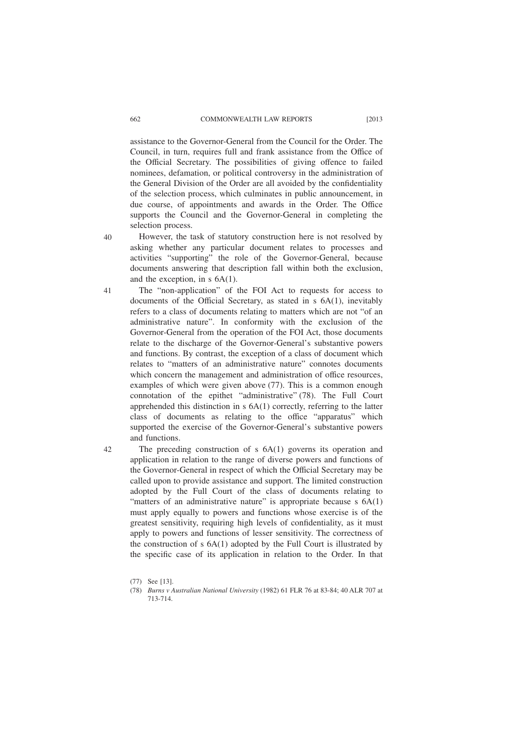assistance to the Governor-General from the Council for the Order. The Council, in turn, requires full and frank assistance from the Office of the Official Secretary. The possibilities of giving offence to failed nominees, defamation, or political controversy in the administration of the General Division of the Order are all avoided by the confidentiality of the selection process, which culminates in public announcement, in due course, of appointments and awards in the Order. The Office supports the Council and the Governor-General in completing the selection process.

However, the task of statutory construction here is not resolved by asking whether any particular document relates to processes and activities "supporting" the role of the Governor-General, because documents answering that description fall within both the exclusion, and the exception, in s 6A(1).

The "non-application" of the FOI Act to requests for access to documents of the Official Secretary, as stated in s 6A(1), inevitably refers to a class of documents relating to matters which are not "of an administrative nature". In conformity with the exclusion of the Governor-General from the operation of the FOI Act, those documents relate to the discharge of the Governor-General's substantive powers and functions. By contrast, the exception of a class of document which relates to "matters of an administrative nature" connotes documents which concern the management and administration of office resources, examples of which were given above (77). This is a common enough connotation of the epithet "administrative" (78). The Full Court apprehended this distinction in s 6A(1) correctly, referring to the latter class of documents as relating to the office "apparatus" which supported the exercise of the Governor-General's substantive powers and functions. 41

The preceding construction of s 6A(1) governs its operation and application in relation to the range of diverse powers and functions of the Governor-General in respect of which the Official Secretary may be called upon to provide assistance and support. The limited construction adopted by the Full Court of the class of documents relating to "matters of an administrative nature" is appropriate because  $s$  6A(1) must apply equally to powers and functions whose exercise is of the greatest sensitivity, requiring high levels of confidentiality, as it must apply to powers and functions of lesser sensitivity. The correctness of the construction of s 6A(1) adopted by the Full Court is illustrated by the specific case of its application in relation to the Order. In that

40

<sup>(77)</sup> See [13].

<sup>(78)</sup> *Burns v Australian National University* (1982) 61 FLR 76 at 83-84; 40 ALR 707 at 713-714.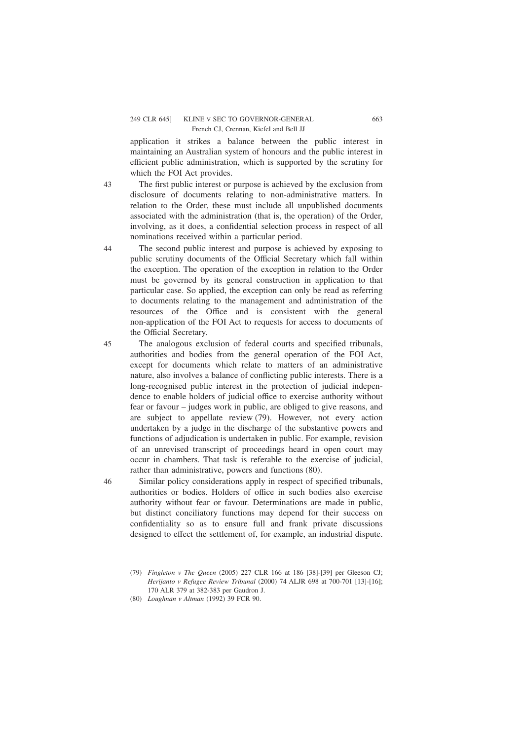## 249 CLR 645] KLINE V SEC TO GOVERNOR-GENERAL 663 French CJ, Crennan, Kiefel and Bell JJ

application it strikes a balance between the public interest in maintaining an Australian system of honours and the public interest in efficient public administration, which is supported by the scrutiny for which the FOI Act provides.

43

44

46

The first public interest or purpose is achieved by the exclusion from disclosure of documents relating to non-administrative matters. In relation to the Order, these must include all unpublished documents associated with the administration (that is, the operation) of the Order, involving, as it does, a confidential selection process in respect of all nominations received within a particular period.

The second public interest and purpose is achieved by exposing to public scrutiny documents of the Official Secretary which fall within the exception. The operation of the exception in relation to the Order must be governed by its general construction in application to that particular case. So applied, the exception can only be read as referring to documents relating to the management and administration of the resources of the Office and is consistent with the general non-application of the FOI Act to requests for access to documents of the Official Secretary.

The analogous exclusion of federal courts and specified tribunals, authorities and bodies from the general operation of the FOI Act, except for documents which relate to matters of an administrative nature, also involves a balance of conflicting public interests. There is a long-recognised public interest in the protection of judicial independence to enable holders of judicial office to exercise authority without fear or favour – judges work in public, are obliged to give reasons, and are subject to appellate review (79). However, not every action undertaken by a judge in the discharge of the substantive powers and functions of adjudication is undertaken in public. For example, revision of an unrevised transcript of proceedings heard in open court may occur in chambers. That task is referable to the exercise of judicial, rather than administrative, powers and functions (80). 45

Similar policy considerations apply in respect of specified tribunals, authorities or bodies. Holders of office in such bodies also exercise authority without fear or favour. Determinations are made in public, but distinct conciliatory functions may depend for their success on confidentiality so as to ensure full and frank private discussions designed to effect the settlement of, for example, an industrial dispute.

<sup>(79)</sup> *Fingleton v The Queen* (2005) 227 CLR 166 at 186 [38]-[39] per Gleeson CJ; *Herijanto v Refugee Review Tribunal* (2000) 74 ALJR 698 at 700-701 [13]-[16]; 170 ALR 379 at 382-383 per Gaudron J.

<sup>(80)</sup> *Loughnan v Altman* (1992) 39 FCR 90.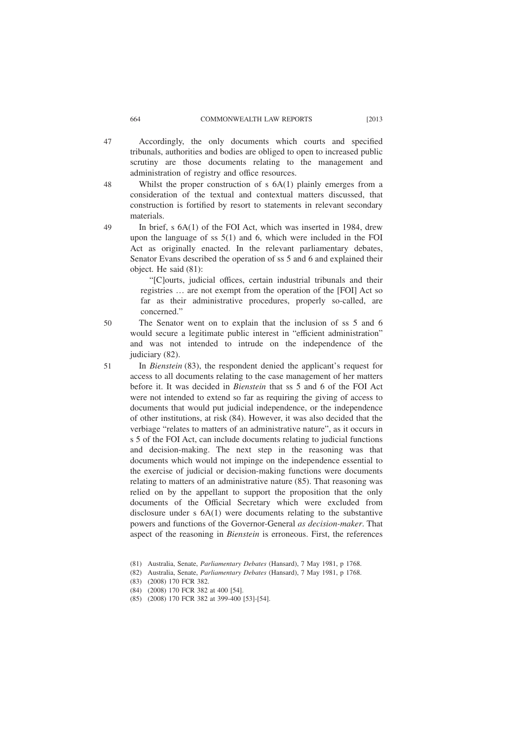- Accordingly, the only documents which courts and specified tribunals, authorities and bodies are obliged to open to increased public scrutiny are those documents relating to the management and administration of registry and office resources. 47
	- Whilst the proper construction of s 6A(1) plainly emerges from a consideration of the textual and contextual matters discussed, that construction is fortified by resort to statements in relevant secondary materials.
	- In brief, s 6A(1) of the FOI Act, which was inserted in 1984, drew upon the language of ss 5(1) and 6, which were included in the FOI Act as originally enacted. In the relevant parliamentary debates, Senator Evans described the operation of ss 5 and 6 and explained their object. He said (81):

"[C]ourts, judicial offices, certain industrial tribunals and their registries … are not exempt from the operation of the [FOI] Act so far as their administrative procedures, properly so-called, are concerned."

- The Senator went on to explain that the inclusion of ss 5 and 6 would secure a legitimate public interest in "efficient administration" and was not intended to intrude on the independence of the judiciary (82).
- In *Bienstein* (83), the respondent denied the applicant's request for access to all documents relating to the case management of her matters before it. It was decided in *Bienstein* that ss 5 and 6 of the FOI Act were not intended to extend so far as requiring the giving of access to documents that would put judicial independence, or the independence of other institutions, at risk (84). However, it was also decided that the verbiage "relates to matters of an administrative nature", as it occurs in s 5 of the FOI Act, can include documents relating to judicial functions and decision-making. The next step in the reasoning was that documents which would not impinge on the independence essential to the exercise of judicial or decision-making functions were documents relating to matters of an administrative nature (85). That reasoning was relied on by the appellant to support the proposition that the only documents of the Official Secretary which were excluded from disclosure under s 6A(1) were documents relating to the substantive powers and functions of the Governor-General *as decision-maker*. That aspect of the reasoning in *Bienstein* is erroneous. First, the references 51
	- (81) Australia, Senate, *Parliamentary Debates* (Hansard), 7 May 1981, p 1768.
	- (82) Australia, Senate, *Parliamentary Debates* (Hansard), 7 May 1981, p 1768.
	- (83) (2008) 170 FCR 382.
	- (84) (2008) 170 FCR 382 at 400 [54].
	- (85) (2008) 170 FCR 382 at 399-400 [53]-[54].

48

49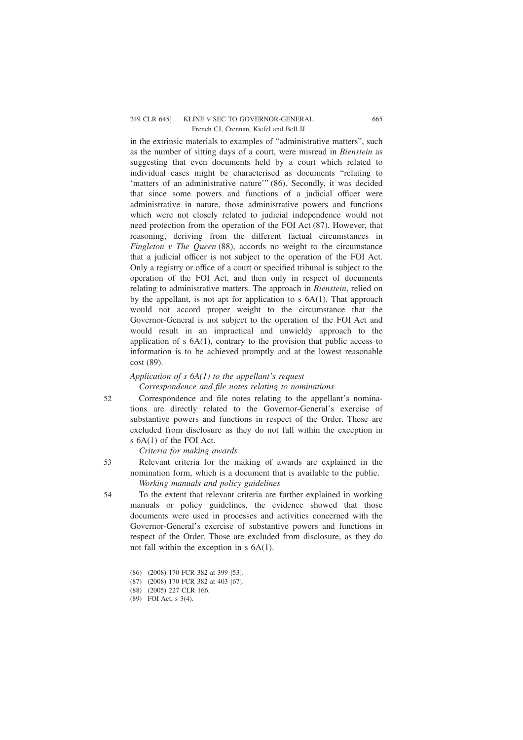## 249 CLR 645] KLINE V SEC TO GOVERNOR-GENERAL 665 French CJ, Crennan, Kiefel and Bell JJ

in the extrinsic materials to examples of "administrative matters", such as the number of sitting days of a court, were misread in *Bienstein* as suggesting that even documents held by a court which related to individual cases might be characterised as documents "relating to 'matters of an administrative nature'" (86). Secondly, it was decided that since some powers and functions of a judicial officer were administrative in nature, those administrative powers and functions which were not closely related to judicial independence would not need protection from the operation of the FOI Act (87). However, that reasoning, deriving from the different factual circumstances in *Fingleton v The Queen* (88), accords no weight to the circumstance that a judicial officer is not subject to the operation of the FOI Act. Only a registry or office of a court or specified tribunal is subject to the operation of the FOI Act, and then only in respect of documents relating to administrative matters. The approach in *Bienstein*, relied on by the appellant, is not apt for application to s  $6A(1)$ . That approach would not accord proper weight to the circumstance that the Governor-General is not subject to the operation of the FOI Act and would result in an impractical and unwieldy approach to the application of  $s$  6A(1), contrary to the provision that public access to information is to be achieved promptly and at the lowest reasonable cost (89).

## *Application of s 6A(1) to the appellant's request*

*Correspondence and file notes relating to nominations*

52

53

54

Correspondence and file notes relating to the appellant's nominations are directly related to the Governor-General's exercise of substantive powers and functions in respect of the Order. These are excluded from disclosure as they do not fall within the exception in s 6A(1) of the FOI Act.

*Criteria for making awards*

Relevant criteria for the making of awards are explained in the nomination form, which is a document that is available to the public. *Working manuals and policy guidelines*

To the extent that relevant criteria are further explained in working manuals or policy guidelines, the evidence showed that those documents were used in processes and activities concerned with the Governor-General's exercise of substantive powers and functions in respect of the Order. Those are excluded from disclosure, as they do not fall within the exception in s 6A(1).

- (86) (2008) 170 FCR 382 at 399 [53].
- (87) (2008) 170 FCR 382 at 403 [67].

(89) FOI Act, s 3(4).

<sup>(88) (2005) 227</sup> CLR 166.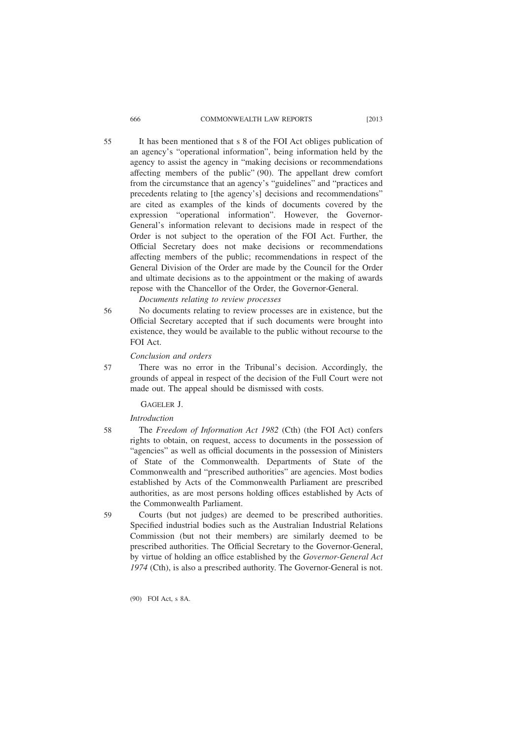## 666 COMMONWEALTH LAW REPORTS [2013

It has been mentioned that s 8 of the FOI Act obliges publication of an agency's "operational information", being information held by the agency to assist the agency in "making decisions or recommendations affecting members of the public" (90). The appellant drew comfort from the circumstance that an agency's "guidelines" and "practices and precedents relating to [the agency's] decisions and recommendations" are cited as examples of the kinds of documents covered by the expression "operational information". However, the Governor-General's information relevant to decisions made in respect of the Order is not subject to the operation of the FOI Act. Further, the Official Secretary does not make decisions or recommendations affecting members of the public; recommendations in respect of the General Division of the Order are made by the Council for the Order and ultimate decisions as to the appointment or the making of awards repose with the Chancellor of the Order, the Governor-General.

*Documents relating to review processes*

No documents relating to review processes are in existence, but the Official Secretary accepted that if such documents were brought into existence, they would be available to the public without recourse to the FOI Act.

*Conclusion and orders*

There was no error in the Tribunal's decision. Accordingly, the grounds of appeal in respect of the decision of the Full Court were not made out. The appeal should be dismissed with costs.

GAGELER J.

*Introduction*

58

59

56

57

The *Freedom of Information Act 1982* (Cth) (the FOI Act) confers rights to obtain, on request, access to documents in the possession of "agencies" as well as official documents in the possession of Ministers of State of the Commonwealth. Departments of State of the Commonwealth and "prescribed authorities" are agencies. Most bodies established by Acts of the Commonwealth Parliament are prescribed authorities, as are most persons holding offices established by Acts of the Commonwealth Parliament.

Courts (but not judges) are deemed to be prescribed authorities. Specified industrial bodies such as the Australian Industrial Relations Commission (but not their members) are similarly deemed to be prescribed authorities. The Official Secretary to the Governor-General, by virtue of holding an office established by the *Governor-General Act 1974* (Cth), is also a prescribed authority. The Governor-General is not.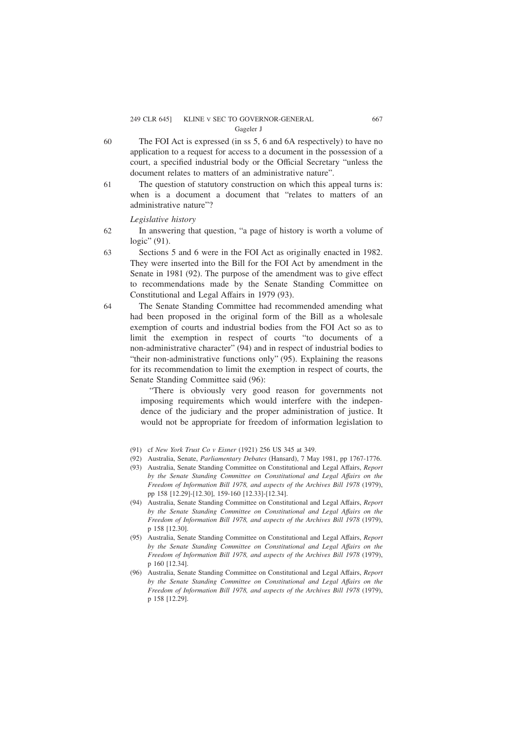#### 249 CLR 645] KLINE V SEC TO GOVERNOR-GENERAL 667 Gageler J

- The FOI Act is expressed (in ss 5, 6 and 6A respectively) to have no application to a request for access to a document in the possession of a court, a specified industrial body or the Official Secretary "unless the document relates to matters of an administrative nature". 60
- The question of statutory construction on which this appeal turns is: when is a document a document that "relates to matters of an administrative nature"? 61

*Legislative history*

- In answering that question, "a page of history is worth a volume of logic" (91). 62
- Sections 5 and 6 were in the FOI Act as originally enacted in 1982. They were inserted into the Bill for the FOI Act by amendment in the Senate in 1981 (92). The purpose of the amendment was to give effect to recommendations made by the Senate Standing Committee on Constitutional and Legal Affairs in 1979 (93). 63
- The Senate Standing Committee had recommended amending what had been proposed in the original form of the Bill as a wholesale exemption of courts and industrial bodies from the FOI Act so as to limit the exemption in respect of courts "to documents of a non-administrative character" (94) and in respect of industrial bodies to "their non-administrative functions only" (95). Explaining the reasons for its recommendation to limit the exemption in respect of courts, the Senate Standing Committee said (96): 64

"There is obviously very good reason for governments not imposing requirements which would interfere with the independence of the judiciary and the proper administration of justice. It would not be appropriate for freedom of information legislation to

- (91) cf *New York Trust Co v Eisner* (1921) 256 US 345 at 349.
- (92) Australia, Senate, *Parliamentary Debates* (Hansard), 7 May 1981, pp 1767-1776.
- (93) Australia, Senate Standing Committee on Constitutional and Legal Affairs, *Report by the Senate Standing Committee on Constitutional and Legal Affairs on the Freedom of Information Bill 1978, and aspects of the Archives Bill 1978* (1979), pp 158 [12.29]-[12.30], 159-160 [12.33]-[12.34].
- (94) Australia, Senate Standing Committee on Constitutional and Legal Affairs, *Report by the Senate Standing Committee on Constitutional and Legal Affairs on the Freedom of Information Bill 1978, and aspects of the Archives Bill 1978* (1979), p 158 [12.30].
- (95) Australia, Senate Standing Committee on Constitutional and Legal Affairs, *Report by the Senate Standing Committee on Constitutional and Legal Affairs on the Freedom of Information Bill 1978, and aspects of the Archives Bill 1978* (1979), p 160 [12.34].
- (96) Australia, Senate Standing Committee on Constitutional and Legal Affairs, *Report by the Senate Standing Committee on Constitutional and Legal Affairs on the Freedom of Information Bill 1978, and aspects of the Archives Bill 1978* (1979), p 158 [12.29].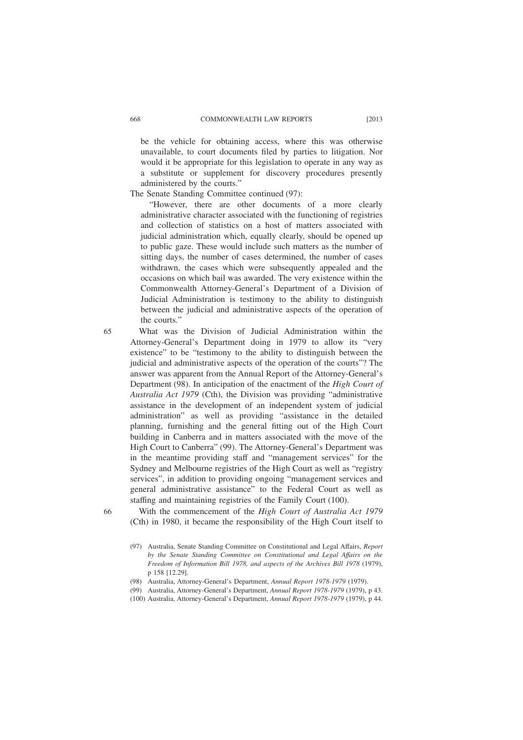be the vehicle for obtaining access, where this was otherwise unavailable, to court documents filed by parties to litigation. Nor would it be appropriate for this legislation to operate in any way as a substitute or supplement for discovery procedures presently administered by the courts."

The Senate Standing Committee continued (97):

"However, there are other documents of a more clearly administrative character associated with the functioning of registries and collection of statistics on a host of matters associated with judicial administration which, equally clearly, should be opened up to public gaze. These would include such matters as the number of sitting days, the number of cases determined, the number of cases withdrawn, the cases which were subsequently appealed and the occasions on which bail was awarded. The very existence within the Commonwealth Attorney-General's Department of a Division of Judicial Administration is testimony to the ability to distinguish between the judicial and administrative aspects of the operation of the courts."

65

What was the Division of Judicial Administration within the Attorney-General's Department doing in 1979 to allow its "very existence" to be "testimony to the ability to distinguish between the judicial and administrative aspects of the operation of the courts"? The answer was apparent from the Annual Report of the Attorney-General's Department (98). In anticipation of the enactment of the *High Court of Australia Act 1979* (Cth), the Division was providing "administrative assistance in the development of an independent system of judicial administration" as well as providing "assistance in the detailed planning, furnishing and the general fitting out of the High Court building in Canberra and in matters associated with the move of the High Court to Canberra" (99). The Attorney-General's Department was in the meantime providing staff and "management services" for the Sydney and Melbourne registries of the High Court as well as "registry services", in addition to providing ongoing "management services and general administrative assistance" to the Federal Court as well as staffing and maintaining registries of the Family Court (100).

66

With the commencement of the *High Court of Australia Act 1979* (Cth) in 1980, it became the responsibility of the High Court itself to

<sup>(97)</sup> Australia, Senate Standing Committee on Constitutional and Legal Affairs, *Report by the Senate Standing Committee on Constitutional and Legal Affairs on the Freedom of Information Bill 1978, and aspects of the Archives Bill 1978* (1979), p 158 [12.29].

<sup>(98)</sup> Australia, Attorney-General's Department, *Annual Report 1978-1979* (1979).

<sup>(99)</sup> Australia, Attorney-General's Department, *Annual Report 1978-1979* (1979), p 43.

<sup>(100)</sup> Australia, Attorney-General's Department, *Annual Report 1978-1979* (1979), p 44.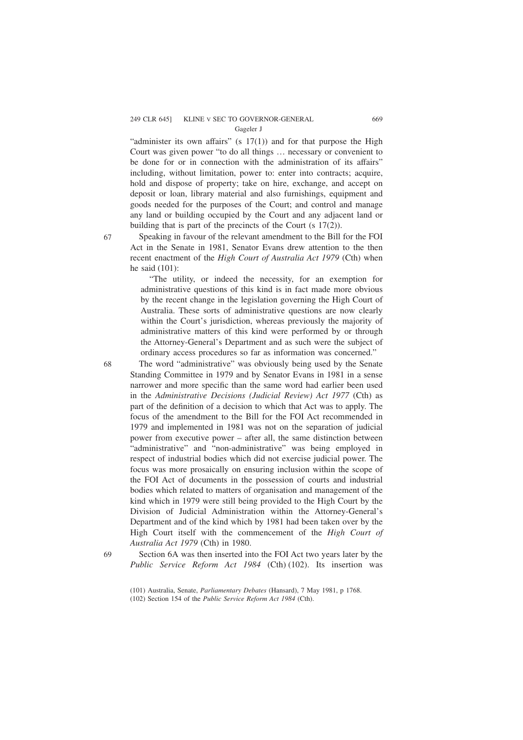# 249 CLR 645] KLINE V SEC TO GOVERNOR-GENERAL 669

Gageler J

"administer its own affairs" (s  $17(1)$ ) and for that purpose the High Court was given power "to do all things … necessary or convenient to be done for or in connection with the administration of its affairs" including, without limitation, power to: enter into contracts; acquire, hold and dispose of property; take on hire, exchange, and accept on deposit or loan, library material and also furnishings, equipment and goods needed for the purposes of the Court; and control and manage any land or building occupied by the Court and any adjacent land or building that is part of the precincts of the Court (s 17(2)).

67

68

Speaking in favour of the relevant amendment to the Bill for the FOI Act in the Senate in 1981, Senator Evans drew attention to the then recent enactment of the *High Court of Australia Act 1979* (Cth) when he said (101):

"The utility, or indeed the necessity, for an exemption for administrative questions of this kind is in fact made more obvious by the recent change in the legislation governing the High Court of Australia. These sorts of administrative questions are now clearly within the Court's jurisdiction, whereas previously the majority of administrative matters of this kind were performed by or through the Attorney-General's Department and as such were the subject of ordinary access procedures so far as information was concerned."

The word "administrative" was obviously being used by the Senate Standing Committee in 1979 and by Senator Evans in 1981 in a sense narrower and more specific than the same word had earlier been used in the *Administrative Decisions (Judicial Review) Act 1977* (Cth) as part of the definition of a decision to which that Act was to apply. The focus of the amendment to the Bill for the FOI Act recommended in 1979 and implemented in 1981 was not on the separation of judicial power from executive power – after all, the same distinction between "administrative" and "non-administrative" was being employed in respect of industrial bodies which did not exercise judicial power. The focus was more prosaically on ensuring inclusion within the scope of the FOI Act of documents in the possession of courts and industrial bodies which related to matters of organisation and management of the kind which in 1979 were still being provided to the High Court by the Division of Judicial Administration within the Attorney-General's Department and of the kind which by 1981 had been taken over by the High Court itself with the commencement of the *High Court of Australia Act 1979* (Cth) in 1980.

69

Section 6A was then inserted into the FOI Act two years later by the *Public Service Reform Act 1984* (Cth) (102). Its insertion was

<sup>(101)</sup> Australia, Senate, *Parliamentary Debates* (Hansard), 7 May 1981, p 1768.

<sup>(102)</sup> Section 154 of the *Public Service Reform Act 1984* (Cth).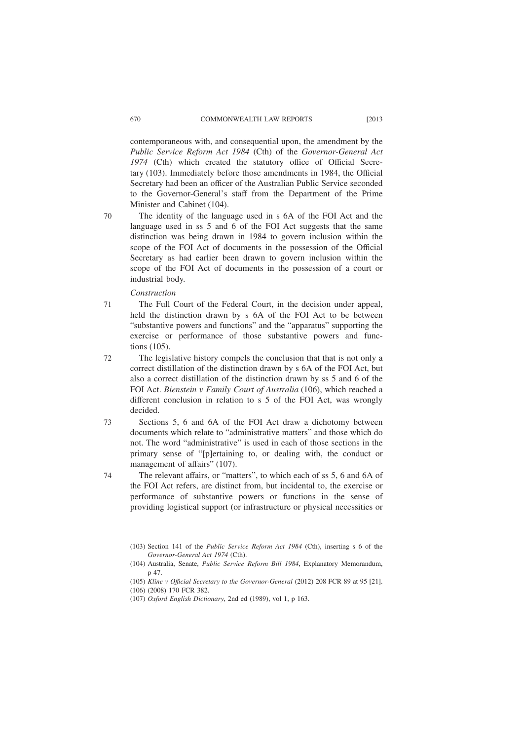contemporaneous with, and consequential upon, the amendment by the *Public Service Reform Act 1984* (Cth) of the *Governor-General Act 1974* (Cth) which created the statutory office of Official Secretary (103). Immediately before those amendments in 1984, the Official Secretary had been an officer of the Australian Public Service seconded to the Governor-General's staff from the Department of the Prime Minister and Cabinet (104).

The identity of the language used in s 6A of the FOI Act and the language used in ss 5 and 6 of the FOI Act suggests that the same distinction was being drawn in 1984 to govern inclusion within the scope of the FOI Act of documents in the possession of the Official Secretary as had earlier been drawn to govern inclusion within the scope of the FOI Act of documents in the possession of a court or industrial body.

*Construction*

The Full Court of the Federal Court, in the decision under appeal, held the distinction drawn by s 6A of the FOI Act to be between "substantive powers and functions" and the "apparatus" supporting the exercise or performance of those substantive powers and functions (105). 71

The legislative history compels the conclusion that that is not only a correct distillation of the distinction drawn by s 6A of the FOI Act, but also a correct distillation of the distinction drawn by ss 5 and 6 of the FOI Act. *Bienstein v Family Court of Australia* (106), which reached a different conclusion in relation to s 5 of the FOI Act, was wrongly decided. 72

Sections 5, 6 and 6A of the FOI Act draw a dichotomy between documents which relate to "administrative matters" and those which do not. The word "administrative" is used in each of those sections in the primary sense of "[p]ertaining to, or dealing with, the conduct or management of affairs" (107). 73

The relevant affairs, or "matters", to which each of ss 5, 6 and 6A of the FOI Act refers, are distinct from, but incidental to, the exercise or performance of substantive powers or functions in the sense of providing logistical support (or infrastructure or physical necessities or 74

<sup>(103)</sup> Section 141 of the *Public Service Reform Act 1984* (Cth), inserting s 6 of the *Governor-General Act 1974* (Cth).

<sup>(104)</sup> Australia, Senate, *Public Service Reform Bill 1984*, Explanatory Memorandum, p 47.

<sup>(105)</sup> *Kline v Offıcial Secretary to the Governor-General* (2012) 208 FCR 89 at 95 [21]. (106) (2008) 170 FCR 382.

<sup>(107)</sup> *Oxford English Dictionary*, 2nd ed (1989), vol 1, p 163.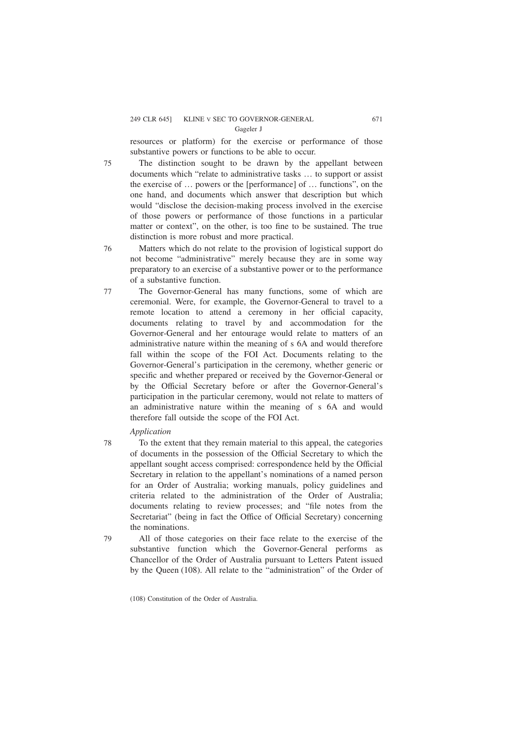resources or platform) for the exercise or performance of those substantive powers or functions to be able to occur.

The distinction sought to be drawn by the appellant between documents which "relate to administrative tasks … to support or assist the exercise of … powers or the [performance] of … functions", on the one hand, and documents which answer that description but which would "disclose the decision-making process involved in the exercise of those powers or performance of those functions in a particular matter or context", on the other, is too fine to be sustained. The true distinction is more robust and more practical.

Matters which do not relate to the provision of logistical support do not become "administrative" merely because they are in some way preparatory to an exercise of a substantive power or to the performance of a substantive function.

- The Governor-General has many functions, some of which are ceremonial. Were, for example, the Governor-General to travel to a remote location to attend a ceremony in her official capacity, documents relating to travel by and accommodation for the Governor-General and her entourage would relate to matters of an administrative nature within the meaning of s 6A and would therefore fall within the scope of the FOI Act. Documents relating to the Governor-General's participation in the ceremony, whether generic or specific and whether prepared or received by the Governor-General or by the Official Secretary before or after the Governor-General's participation in the particular ceremony, would not relate to matters of an administrative nature within the meaning of s 6A and would therefore fall outside the scope of the FOI Act. 77
	- *Application*

75

76

78

- To the extent that they remain material to this appeal, the categories of documents in the possession of the Official Secretary to which the appellant sought access comprised: correspondence held by the Official Secretary in relation to the appellant's nominations of a named person for an Order of Australia; working manuals, policy guidelines and criteria related to the administration of the Order of Australia; documents relating to review processes; and "file notes from the Secretariat" (being in fact the Office of Official Secretary) concerning the nominations.
- All of those categories on their face relate to the exercise of the substantive function which the Governor-General performs as Chancellor of the Order of Australia pursuant to Letters Patent issued by the Queen (108). All relate to the "administration" of the Order of